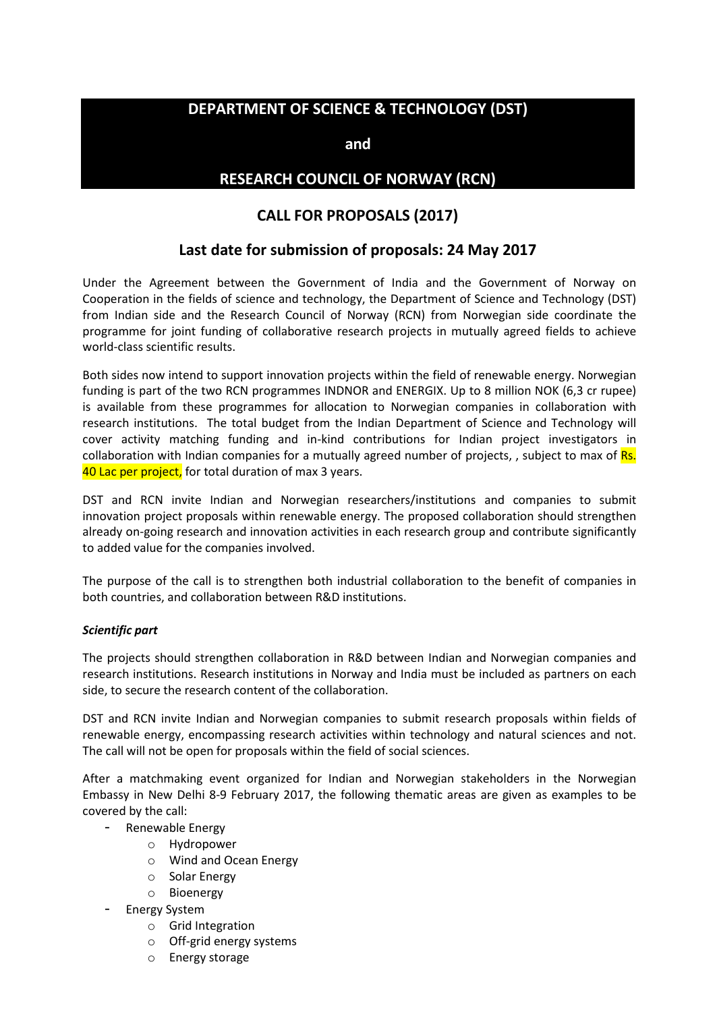## **DEPARTMENT OF SCIENCE & TECHNOLOGY (DST)**

**and** 

## **RESEARCH COUNCIL OF NORWAY (RCN)**

## **CALL FOR PROPOSALS (2017)**

## **Last date for submission of proposals: 24 May 2017**

Under the Agreement between the Government of India and the Government of Norway on Cooperation in the fields of science and technology, the Department of Science and Technology (DST) from Indian side and the Research Council of Norway (RCN) from Norwegian side coordinate the programme for joint funding of collaborative research projects in mutually agreed fields to achieve world-class scientific results.

Both sides now intend to support innovation projects within the field of renewable energy. Norwegian funding is part of the two RCN programmes INDNOR and ENERGIX. Up to 8 million NOK (6,3 cr rupee) is available from these programmes for allocation to Norwegian companies in collaboration with research institutions. The total budget from the Indian Department of Science and Technology will cover activity matching funding and in-kind contributions for Indian project investigators in collaboration with Indian companies for a mutually agreed number of projects, , subject to max of Rs. 40 Lac per project. for total duration of max 3 years.

DST and RCN invite Indian and Norwegian researchers/institutions and companies to submit innovation project proposals within renewable energy. The proposed collaboration should strengthen already on-going research and innovation activities in each research group and contribute significantly to added value for the companies involved.

The purpose of the call is to strengthen both industrial collaboration to the benefit of companies in both countries, and collaboration between R&D institutions.

#### *Scientific part*

The projects should strengthen collaboration in R&D between Indian and Norwegian companies and research institutions. Research institutions in Norway and India must be included as partners on each side, to secure the research content of the collaboration.

DST and RCN invite Indian and Norwegian companies to submit research proposals within fields of renewable energy, encompassing research activities within technology and natural sciences and not. The call will not be open for proposals within the field of social sciences.

After a matchmaking event organized for Indian and Norwegian stakeholders in the Norwegian Embassy in New Delhi 8-9 February 2017, the following thematic areas are given as examples to be covered by the call:

- Renewable Energy
	- o Hydropower
	- o Wind and Ocean Energy
	- o Solar Energy
	- o Bioenergy
- Energy System
	- o Grid Integration
	- o Off-grid energy systems
	- o Energy storage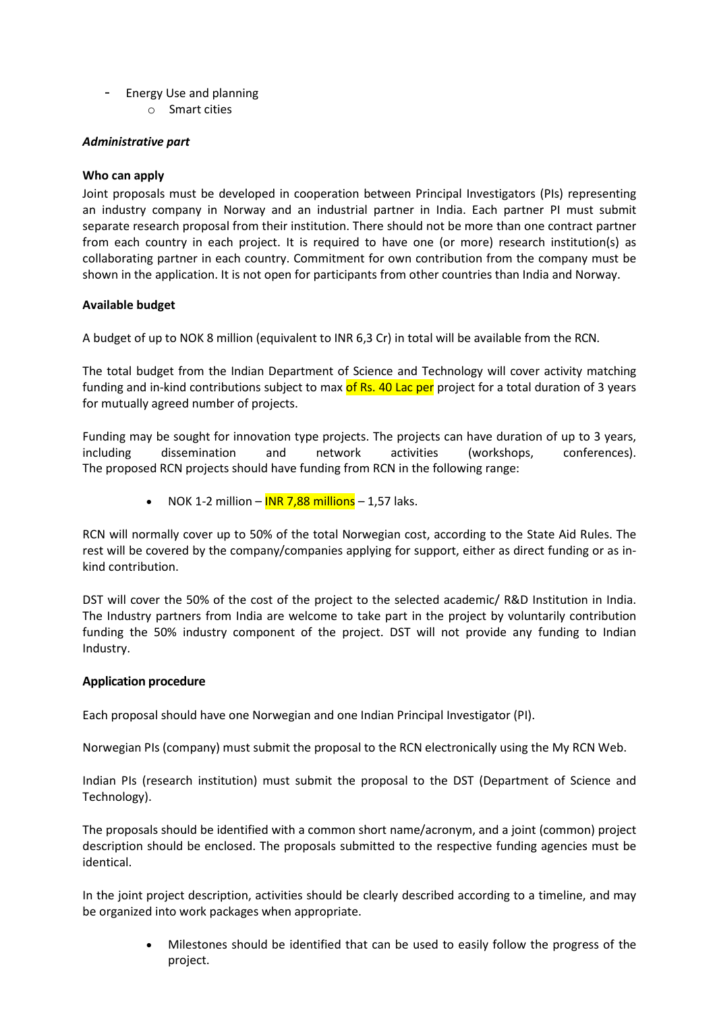- Energy Use and planning
	- o Smart cities

### *Administrative part*

### **Who can apply**

Joint proposals must be developed in cooperation between Principal Investigators (PIs) representing an industry company in Norway and an industrial partner in India. Each partner PI must submit separate research proposal from their institution. There should not be more than one contract partner from each country in each project. It is required to have one (or more) research institution(s) as collaborating partner in each country. Commitment for own contribution from the company must be shown in the application. It is not open for participants from other countries than India and Norway.

### **Available budget**

A budget of up to NOK 8 million (equivalent to INR 6,3 Cr) in total will be available from the RCN.

The total budget from the Indian Department of Science and Technology will cover activity matching funding and in-kind contributions subject to max of Rs. 40 Lac per project for a total duration of 3 years for mutually agreed number of projects.

Funding may be sought for innovation type projects. The projects can have duration of up to 3 years, including dissemination and network activities (workshops, conferences). The proposed RCN projects should have funding from RCN in the following range:

• NOK 1-2 million –  $INR$  7,88 millions – 1,57 laks.

RCN will normally cover up to 50% of the total Norwegian cost, according to the State Aid Rules. The rest will be covered by the company/companies applying for support, either as direct funding or as inkind contribution.

DST will cover the 50% of the cost of the project to the selected academic/ R&D Institution in India. The Industry partners from India are welcome to take part in the project by voluntarily contribution funding the 50% industry component of the project. DST will not provide any funding to Indian Industry.

### **Application procedure**

Each proposal should have one Norwegian and one Indian Principal Investigator (PI).

Norwegian PIs (company) must submit the proposal to the RCN electronically using the My RCN Web.

Indian PIs (research institution) must submit the proposal to the DST (Department of Science and Technology).

The proposals should be identified with a common short name/acronym, and a joint (common) project description should be enclosed. The proposals submitted to the respective funding agencies must be identical.

In the joint project description, activities should be clearly described according to a timeline, and may be organized into work packages when appropriate.

> • Milestones should be identified that can be used to easily follow the progress of the project.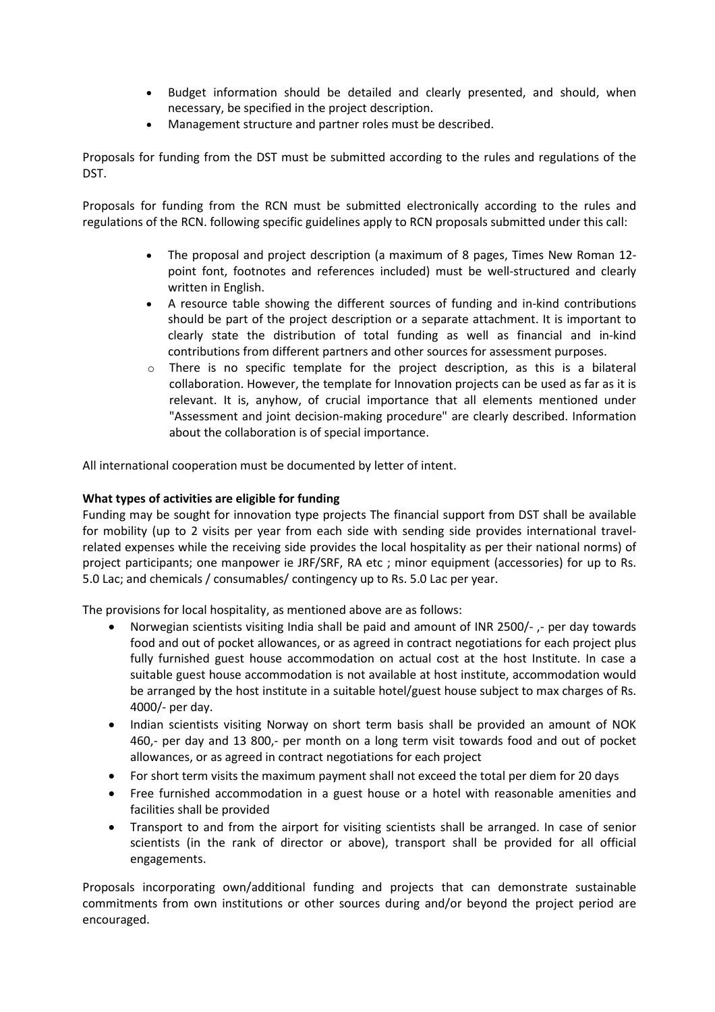- Budget information should be detailed and clearly presented, and should, when necessary, be specified in the project description.
- Management structure and partner roles must be described.

Proposals for funding from the DST must be submitted according to the rules and regulations of the DST.

Proposals for funding from the RCN must be submitted electronically according to the rules and regulations of the RCN. following specific guidelines apply to RCN proposals submitted under this call:

- The proposal and project description (a maximum of 8 pages, Times New Roman 12 point font, footnotes and references included) must be well-structured and clearly written in English.
- A resource table showing the different sources of funding and in-kind contributions should be part of the project description or a separate attachment. It is important to clearly state the distribution of total funding as well as financial and in-kind contributions from different partners and other sources for assessment purposes.
- o There is no specific template for the project description, as this is a bilateral collaboration. However, the template for Innovation projects can be used as far as it is relevant. It is, anyhow, of crucial importance that all elements mentioned under "Assessment and joint decision-making procedure" are clearly described. Information about the collaboration is of special importance.

All international cooperation must be documented by letter of intent.

### **What types of activities are eligible for funding**

Funding may be sought for innovation type projects The financial support from DST shall be available for mobility (up to 2 visits per year from each side with sending side provides international travelrelated expenses while the receiving side provides the local hospitality as per their national norms) of project participants; one manpower ie JRF/SRF, RA etc ; minor equipment (accessories) for up to Rs. 5.0 Lac; and chemicals / consumables/ contingency up to Rs. 5.0 Lac per year.

The provisions for local hospitality, as mentioned above are as follows:

- Norwegian scientists visiting India shall be paid and amount of INR 2500/-,- per day towards food and out of pocket allowances, or as agreed in contract negotiations for each project plus fully furnished guest house accommodation on actual cost at the host Institute. In case a suitable guest house accommodation is not available at host institute, accommodation would be arranged by the host institute in a suitable hotel/guest house subject to max charges of Rs. 4000/- per day.
- Indian scientists visiting Norway on short term basis shall be provided an amount of NOK 460,- per day and 13 800,- per month on a long term visit towards food and out of pocket allowances, or as agreed in contract negotiations for each project
- For short term visits the maximum payment shall not exceed the total per diem for 20 days
- Free furnished accommodation in a guest house or a hotel with reasonable amenities and facilities shall be provided
- Transport to and from the airport for visiting scientists shall be arranged. In case of senior scientists (in the rank of director or above), transport shall be provided for all official engagements.

Proposals incorporating own/additional funding and projects that can demonstrate sustainable commitments from own institutions or other sources during and/or beyond the project period are encouraged.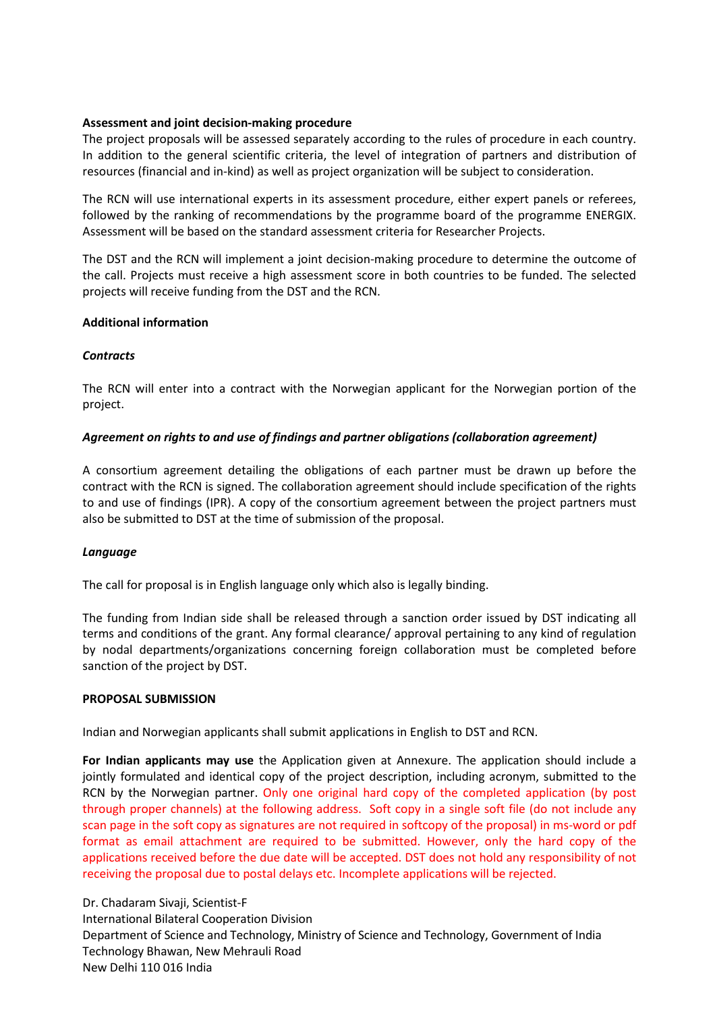#### **Assessment and joint decision-making procedure**

The project proposals will be assessed separately according to the rules of procedure in each country. In addition to the general scientific criteria, the level of integration of partners and distribution of resources (financial and in-kind) as well as project organization will be subject to consideration.

The RCN will use international experts in its assessment procedure, either expert panels or referees, followed by the ranking of recommendations by the programme board of the programme ENERGIX. Assessment will be based on the standard assessment criteria for Researcher Projects.

The DST and the RCN will implement a joint decision-making procedure to determine the outcome of the call. Projects must receive a high assessment score in both countries to be funded. The selected projects will receive funding from the DST and the RCN.

#### **Additional information**

#### *Contracts*

The RCN will enter into a contract with the Norwegian applicant for the Norwegian portion of the project.

### *Agreement on rights to and use of findings and partner obligations (collaboration agreement)*

A consortium agreement detailing the obligations of each partner must be drawn up before the contract with the RCN is signed. The collaboration agreement should include specification of the rights to and use of findings (IPR). A copy of the consortium agreement between the project partners must also be submitted to DST at the time of submission of the proposal.

#### *Language*

The call for proposal is in English language only which also is legally binding.

The funding from Indian side shall be released through a sanction order issued by DST indicating all terms and conditions of the grant. Any formal clearance/ approval pertaining to any kind of regulation by nodal departments/organizations concerning foreign collaboration must be completed before sanction of the project by DST.

#### **PROPOSAL SUBMISSION**

Indian and Norwegian applicants shall submit applications in English to DST and RCN.

**For Indian applicants may use** the Application given at Annexure. The application should include a jointly formulated and identical copy of the project description, including acronym, submitted to the RCN by the Norwegian partner. Only one original hard copy of the completed application (by post through proper channels) at the following address. Soft copy in a single soft file (do not include any scan page in the soft copy as signatures are not required in softcopy of the proposal) in ms-word or pdf format as email attachment are required to be submitted. However, only the hard copy of the applications received before the due date will be accepted. DST does not hold any responsibility of not receiving the proposal due to postal delays etc. Incomplete applications will be rejected.

Dr. Chadaram Sivaji, Scientist-F International Bilateral Cooperation Division Department of Science and Technology, Ministry of Science and Technology, Government of India Technology Bhawan, New Mehrauli Road New Delhi 110 016 India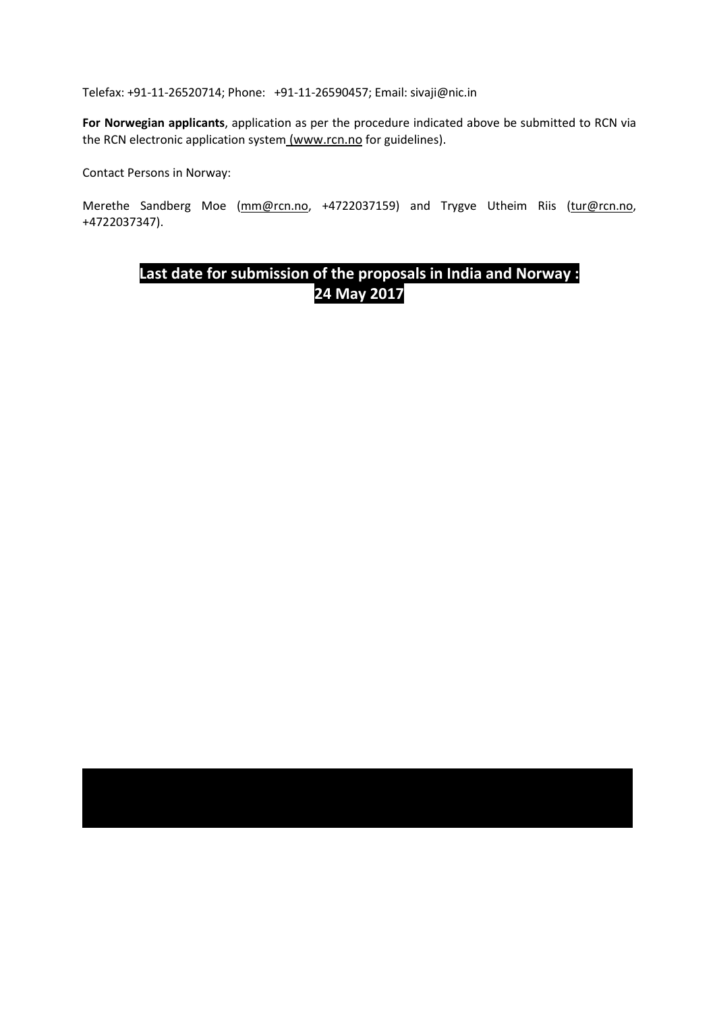Telefax: +91-11-26520714; Phone: +91-11-26590457; Email: sivaji@nic.in

**For Norwegian applicants**, application as per the procedure indicated above be submitted to RCN via the RCN electronic application system (www.rcn.no for guidelines).

Contact Persons in Norway:

Merethe Sandberg Moe (mm@rcn.no, +4722037159) and Trygve Utheim Riis (tur@rcn.no, +4722037347).

# **Last date for submission of the proposals in India and Norway : 24 May 2017**

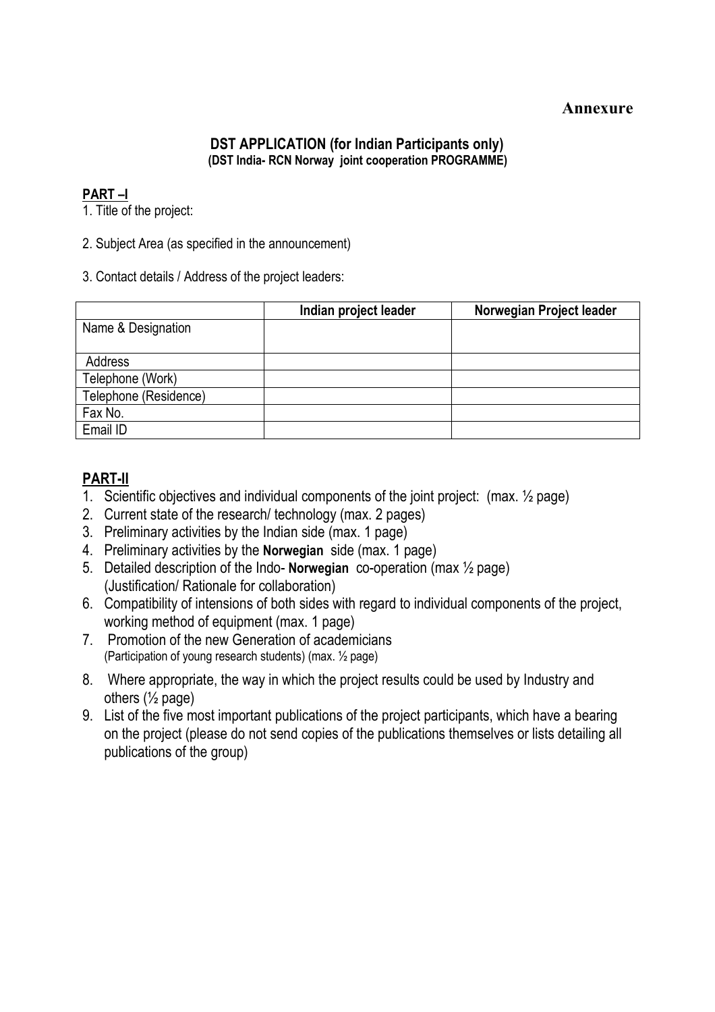## **Annexure**

## **DST APPLICATION (for Indian Participants only) (DST India- RCN Norway joint cooperation PROGRAMME)**

## **PART –I**

1. Title of the project:

2. Subject Area (as specified in the announcement)

3. Contact details / Address of the project leaders:

|                       | Indian project leader | Norwegian Project leader |
|-----------------------|-----------------------|--------------------------|
| Name & Designation    |                       |                          |
|                       |                       |                          |
| Address               |                       |                          |
| Telephone (Work)      |                       |                          |
| Telephone (Residence) |                       |                          |
| Fax No.               |                       |                          |
| Email ID              |                       |                          |

## **PART-II**

- 1. Scientific objectives and individual components of the joint project: (max. ½ page)
- 2. Current state of the research/ technology (max. 2 pages)
- 3. Preliminary activities by the Indian side (max. 1 page)
- 4. Preliminary activities by the **Norwegian** side (max. 1 page)
- 5. Detailed description of the Indo- **Norwegian** co-operation (max ½ page) (Justification/ Rationale for collaboration)
- 6. Compatibility of intensions of both sides with regard to individual components of the project, working method of equipment (max. 1 page)
- 7. Promotion of the new Generation of academicians (Participation of young research students) (max. ½ page)
- 8. Where appropriate, the way in which the project results could be used by Industry and others  $(\frac{1}{2}$  page)
- 9. List of the five most important publications of the project participants, which have a bearing on the project (please do not send copies of the publications themselves or lists detailing all publications of the group)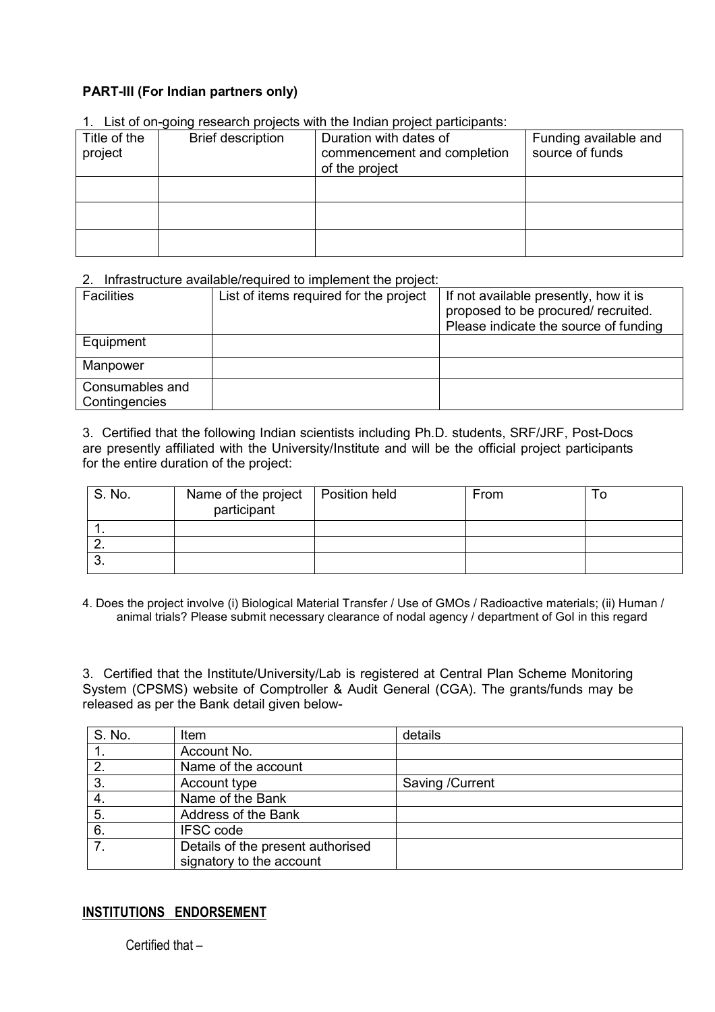## **PART-III (For Indian partners only)**

| 1. List of on-going research projects with the mulan project participants. |                          |                                                                         |                                          |  |  |  |  |
|----------------------------------------------------------------------------|--------------------------|-------------------------------------------------------------------------|------------------------------------------|--|--|--|--|
| Title of the<br>project                                                    | <b>Brief description</b> | Duration with dates of<br>commencement and completion<br>of the project | Funding available and<br>source of funds |  |  |  |  |
|                                                                            |                          |                                                                         |                                          |  |  |  |  |
|                                                                            |                          |                                                                         |                                          |  |  |  |  |
|                                                                            |                          |                                                                         |                                          |  |  |  |  |

1. List of on-going research projects with the Indian project participants:

### 2. Infrastructure available/required to implement the project:

| <b>Facilities</b>                | List of items required for the project | If not available presently, how it is<br>proposed to be procured/ recruited.<br>Please indicate the source of funding |
|----------------------------------|----------------------------------------|-----------------------------------------------------------------------------------------------------------------------|
| Equipment                        |                                        |                                                                                                                       |
| Manpower                         |                                        |                                                                                                                       |
| Consumables and<br>Contingencies |                                        |                                                                                                                       |

3. Certified that the following Indian scientists including Ph.D. students, SRF/JRF, Post-Docs are presently affiliated with the University/Institute and will be the official project participants for the entire duration of the project:

| S. No. | Name of the project   Position held<br>participant | From | l C |
|--------|----------------------------------------------------|------|-----|
|        |                                                    |      |     |
|        |                                                    |      |     |
| . v.   |                                                    |      |     |

4. Does the project involve (i) Biological Material Transfer / Use of GMOs / Radioactive materials; (ii) Human / animal trials? Please submit necessary clearance of nodal agency / department of GoI in this regard

3. Certified that the Institute/University/Lab is registered at Central Plan Scheme Monitoring System (CPSMS) website of Comptroller & Audit General (CGA). The grants/funds may be released as per the Bank detail given below-

| S. No.         | Item                              | details         |
|----------------|-----------------------------------|-----------------|
|                | Account No.                       |                 |
| 2.             | Name of the account               |                 |
| 3.             | Account type                      | Saving /Current |
| 4.             | Name of the Bank                  |                 |
| 5.             | Address of the Bank               |                 |
| 6.             | <b>IFSC</b> code                  |                 |
| 7 <sub>1</sub> | Details of the present authorised |                 |
|                | signatory to the account          |                 |

## **INSTITUTIONS ENDORSEMENT**

Certified that –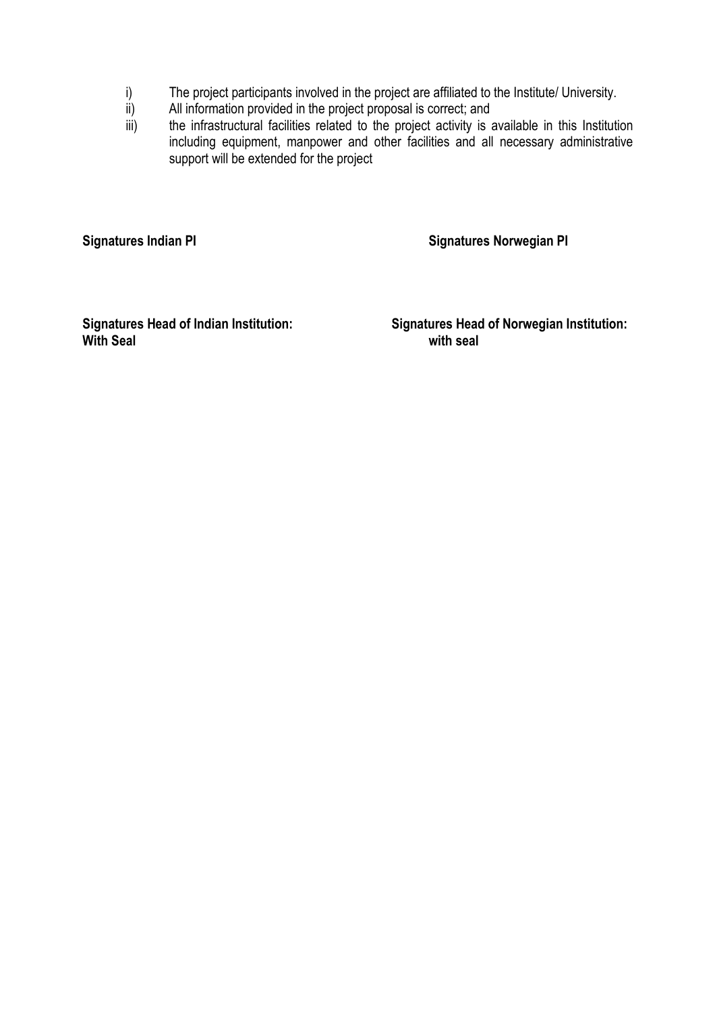- i) The project participants involved in the project are affiliated to the Institute/ University.<br>ii) All information provided in the project proposal is correct; and
- All information provided in the project proposal is correct; and
- iii) the infrastructural facilities related to the project activity is available in this Institution including equipment, manpower and other facilities and all necessary administrative support will be extended for the project

**Signatures Indian PI Signatures Norwegian PI** 

**With Seal** 

**Signatures Head of Indian Institution: Signatures Head of Norwegian Institution:**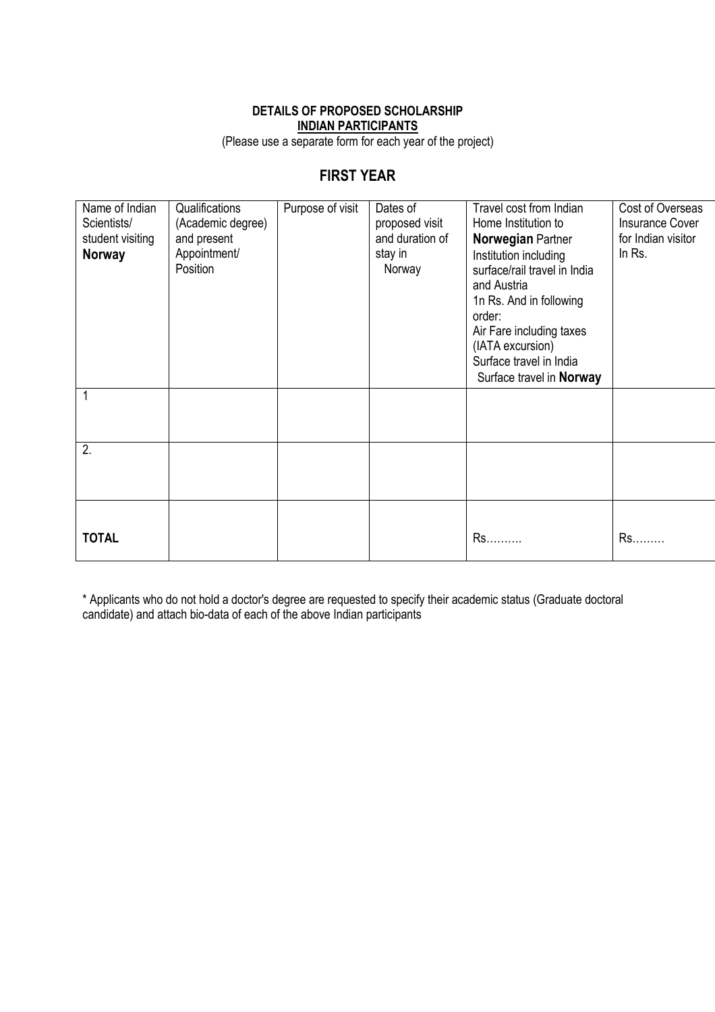### **DETAILS OF PROPOSED SCHOLARSHIP INDIAN PARTICIPANTS**

(Please use a separate form for each year of the project)

## **FIRST YEAR**

| Name of Indian<br>Scientists/<br>student visiting<br><b>Norway</b> | Qualifications<br>(Academic degree)<br>and present<br>Appointment/<br>Position | Purpose of visit | Dates of<br>proposed visit<br>and duration of<br>stay in<br>Norway | Travel cost from Indian<br>Home Institution to<br>Norwegian Partner<br>Institution including<br>surface/rail travel in India<br>and Austria<br>1n Rs. And in following<br>order:<br>Air Fare including taxes<br>(IATA excursion) | Cost of Overseas<br><b>Insurance Cover</b><br>for Indian visitor<br>In Rs. |
|--------------------------------------------------------------------|--------------------------------------------------------------------------------|------------------|--------------------------------------------------------------------|----------------------------------------------------------------------------------------------------------------------------------------------------------------------------------------------------------------------------------|----------------------------------------------------------------------------|
|                                                                    |                                                                                |                  |                                                                    | Surface travel in India<br>Surface travel in Norway                                                                                                                                                                              |                                                                            |
|                                                                    |                                                                                |                  |                                                                    |                                                                                                                                                                                                                                  |                                                                            |
| 2.                                                                 |                                                                                |                  |                                                                    |                                                                                                                                                                                                                                  |                                                                            |
| <b>TOTAL</b>                                                       |                                                                                |                  |                                                                    | Rs                                                                                                                                                                                                                               | Rs                                                                         |

\* Applicants who do not hold a doctor's degree are requested to specify their academic status (Graduate doctoral candidate) and attach bio-data of each of the above Indian participants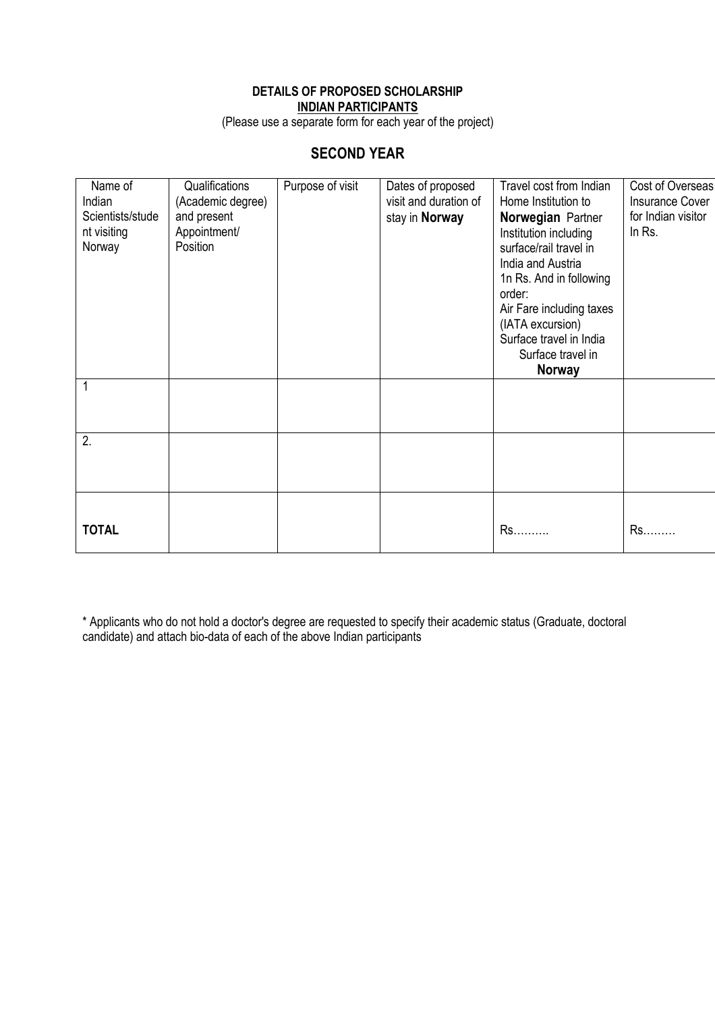## **DETAILS OF PROPOSED SCHOLARSHIP INDIAN PARTICIPANTS**

(Please use a separate form for each year of the project)

## **SECOND YEAR**

| Name of          | Qualifications    | Purpose of visit | Dates of proposed     | Travel cost from Indian  | Cost of Overseas       |
|------------------|-------------------|------------------|-----------------------|--------------------------|------------------------|
| Indian           | (Academic degree) |                  | visit and duration of | Home Institution to      | <b>Insurance Cover</b> |
| Scientists/stude | and present       |                  | stay in Norway        | Norwegian Partner        | for Indian visitor     |
| nt visiting      | Appointment/      |                  |                       | Institution including    | In Rs.                 |
| Norway           | Position          |                  |                       | surface/rail travel in   |                        |
|                  |                   |                  |                       | India and Austria        |                        |
|                  |                   |                  |                       | 1n Rs. And in following  |                        |
|                  |                   |                  |                       | order:                   |                        |
|                  |                   |                  |                       | Air Fare including taxes |                        |
|                  |                   |                  |                       | (IATA excursion)         |                        |
|                  |                   |                  |                       | Surface travel in India  |                        |
|                  |                   |                  |                       | Surface travel in        |                        |
|                  |                   |                  |                       | <b>Norway</b>            |                        |
|                  |                   |                  |                       |                          |                        |
|                  |                   |                  |                       |                          |                        |
|                  |                   |                  |                       |                          |                        |
| 2.               |                   |                  |                       |                          |                        |
|                  |                   |                  |                       |                          |                        |
|                  |                   |                  |                       |                          |                        |
|                  |                   |                  |                       |                          |                        |
|                  |                   |                  |                       |                          |                        |
| <b>TOTAL</b>     |                   |                  |                       | Rs                       | Rs                     |
|                  |                   |                  |                       |                          |                        |

\* Applicants who do not hold a doctor's degree are requested to specify their academic status (Graduate, doctoral candidate) and attach bio-data of each of the above Indian participants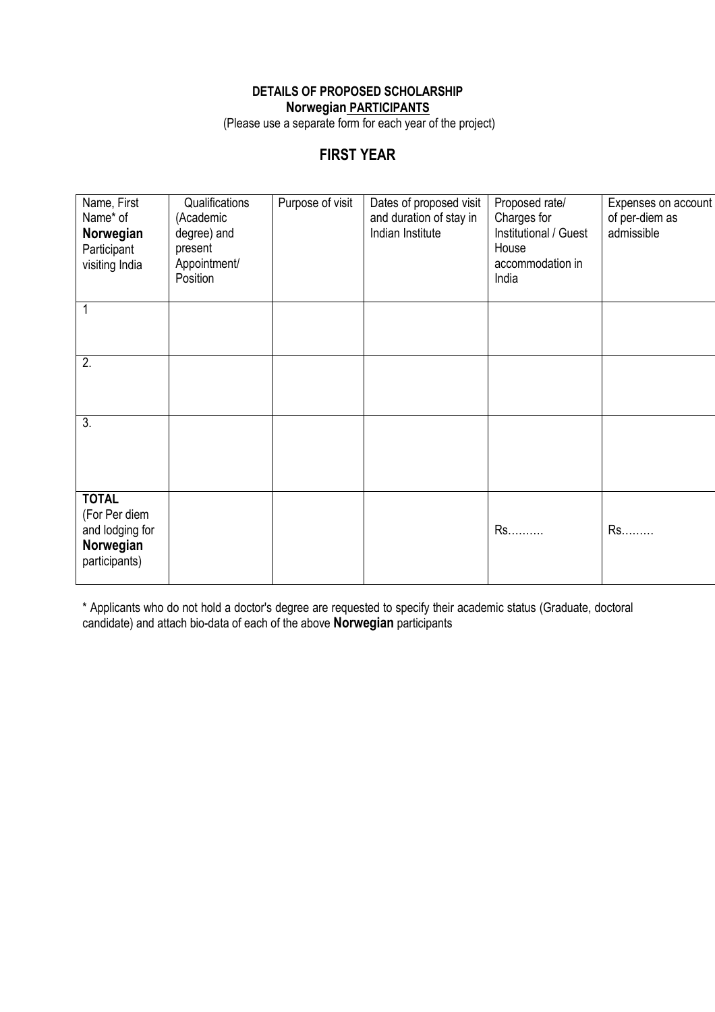## **DETAILS OF PROPOSED SCHOLARSHIP Norwegian PARTICIPANTS**

(Please use a separate form for each year of the project)

# **FIRST YEAR**

| Name, First<br>Name* of<br>Norwegian<br>Participant<br>visiting India          | Qualifications<br>(Academic<br>degree) and<br>present<br>Appointment/<br>Position | Purpose of visit | Dates of proposed visit<br>and duration of stay in<br>Indian Institute | Proposed rate/<br>Charges for<br>Institutional / Guest<br>House<br>accommodation in<br>India | Expenses on account<br>of per-diem as<br>admissible |
|--------------------------------------------------------------------------------|-----------------------------------------------------------------------------------|------------------|------------------------------------------------------------------------|----------------------------------------------------------------------------------------------|-----------------------------------------------------|
|                                                                                |                                                                                   |                  |                                                                        |                                                                                              |                                                     |
| 2.                                                                             |                                                                                   |                  |                                                                        |                                                                                              |                                                     |
| 3.                                                                             |                                                                                   |                  |                                                                        |                                                                                              |                                                     |
| <b>TOTAL</b><br>(For Per diem<br>and lodging for<br>Norwegian<br>participants) |                                                                                   |                  |                                                                        | Rs                                                                                           | Rs.                                                 |

\* Applicants who do not hold a doctor's degree are requested to specify their academic status (Graduate, doctoral candidate) and attach bio-data of each of the above **Norwegian** participants